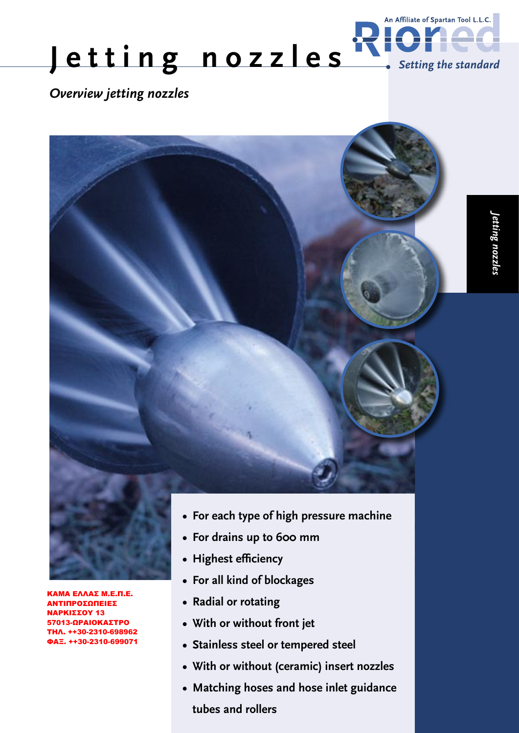

*Overview jetting nozzles*

ΚΑΜΑ ΕΛΛΑΣ M.Ε.Π.Ε. ΑΝΤΙΠΡΟΣΩΠΕΙΕΣ ΝΑΡΚΙΣΣΟΥ 13 57013-ΩΡΑΙΟΚΑΣΤΡΟ ΤΗΛ. ++30-2310-698962 ΦΑΞ. ++30-2310-699071



- **For drains up to 600 mm**
- **Highest efficiency**
- **For all kind of blockages**
- **Radial or rotating**
- **With or without front jet**
- **Stainless steel or tempered steel**
- **With or without (ceramic) insert nozzles**
- **Matching hoses and hose inlet guidance tubes and rollers**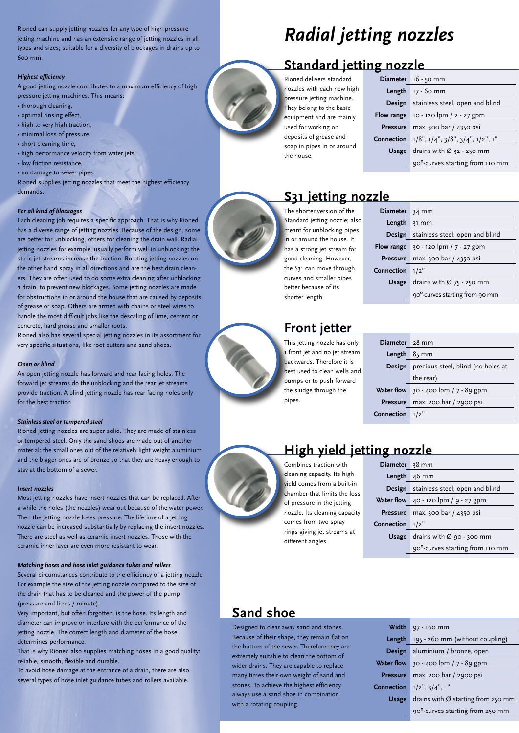Rioned can supply jetting nozzles for any type of high pressure jetting machine and has an extensive range of jetting nozzles in all types and sizes; suitable for a diversity of blockages in drains up to 600 mm.

#### *Highest efficiency*

A good jetting nozzle contributes to a maximum efficiency of high pressure jetting machines. This means:

- thorough cleaning,
- optimal rinsing effect,
- high to very high traction,
- minimal loss of pressure,
- short cleaning time,
- high performance velocity from water jets,
- low friction resistance,
- no damage to sewer pipes.

Rioned supplies jetting nozzles that meet the highest efficiency demands.

#### *For all kind of blockages*

Each cleaning job requires a specific approach. That is why Rioned has a diverse range of jetting nozzles. Because of the design, some are better for unblocking, others for cleaning the drain wall. Radial jetting nozzles for example, usually perform well in unblocking: the static jet streams increase the traction. Rotating jetting nozzles on the other hand spray in all directions and are the best drain cleaners. They are often used to do some extra cleaning after unblocking a drain, to prevent new blockages. Some jetting nozzles are made for obstructions in or around the house that are caused by deposits of grease or soap. Others are armed with chains or steel wires to handle the most difficult jobs like the descaling of lime, cement or concrete, hard grease and smaller roots.

Rioned also has several special jetting nozzles in its assortment for very specific situations, like root cutters and sand shoes.

#### *Open or blind*

An open jetting nozzle has forward and rear facing holes. The forward jet streams do the unblocking and the rear jet streams provide traction. A blind jetting nozzle has rear facing holes only for the best traction.

#### *Stainless steel or tempered steel*

Rioned jetting nozzles are super solid. They are made of stainless or tempered steel. Only the sand shoes are made out of another material: the small ones out of the relatively light weight aluminium and the bigger ones are of bronze so that they are heavy enough to stay at the bottom of a sewer.

#### *Insert nozzles*

Most jetting nozzles have insert nozzles that can be replaced. After a while the holes (the nozzles) wear out because of the water power. Then the jetting nozzle loses pressure. The lifetime of a jetting nozzle can be increased substantially by replacing the insert nozzles. There are steel as well as ceramic insert nozzles. Those with the ceramic inner layer are even more resistant to wear.

#### *Matching hoses and hose inlet guidance tubes and rollers*

Several circumstances contribute to the efficiency of a jetting nozzle. For example the size of the jetting nozzle compared to the size of the drain that has to be cleaned and the power of the pump (pressure and litres / minute).

Very important, but often forgotten, is the hose. Its length and diameter can improve or interfere with the performance of the jetting nozzle. The correct length and diameter of the hose determines performance.

That is why Rioned also supplies matching hoses in a good quality: reliable, smooth, flexible and durable.

To avoid hose damage at the entrance of a drain, there are also several types of hose inlet guidance tubes and rollers available.

# *Radial jetting nozzles*

### **Standard jetting nozzle**

Rioned delivers standard nozzles with each new high pressure jetting machine. They belong to the basic equipment and are mainly used for working on deposits of grease and soap in pipes in or around the house.

|       | Diameter 16 - 50 mm                                               |
|-------|-------------------------------------------------------------------|
|       | <b>Length</b> $17 - 60$ mm                                        |
|       | Design stainless steel, open and blind                            |
|       | Flow range $10 - 120$ lpm $/2 - 27$ gpm                           |
|       | Pressure max. 300 bar / 4350 psi                                  |
|       | <b>Connection</b> 1/8", $1/4$ ", $3/8$ ", $3/4$ ", $1/2$ ", $1$ " |
| Usage | drains with $\varnothing$ 32 - 250 mm                             |
|       | 90°-curves starting from 110 mm                                   |

### **S31 jetting nozzle**

The shorter version of the Standard jetting nozzle; also meant for unblocking pipes n or around the house. It has a strong jet stream for good cleaning. However, the S31 can move through curves and smaller pipes better because of its shorter length.

| ZIC                   |                                               |
|-----------------------|-----------------------------------------------|
| Diameter 34 mm        |                                               |
| <b>Length</b> $31$ mm |                                               |
|                       | <b>Design</b> stainless steel, open and blind |
|                       | <b>Flow range</b> 30 - 120 lpm / $7 - 27$ gpm |
|                       | Pressure max. 300 bar / 4350 psi              |
| Connection            | 1/2"                                          |
| Usage                 | drains with $\varnothing$ 75 - 250 mm         |
|                       | 90°-curves starting from 90 mm                |
|                       |                                               |

### **Front jetter**

This jetting nozzle has only 1 front jet and no jet stream backwards. Therefore it is best used to clean wells and pumps or to push forward the sludge through the pipes.

| Diameter 28 mm |                                         |
|----------------|-----------------------------------------|
| Length         | $85 \, \text{mm}$                       |
| Design         | precious steel, blind (no holes at      |
|                | the rear)                               |
|                | Water flow $30 - 400$ lpm $/7 - 89$ gpm |
| Pressure       | max. 200 bar / 2900 psi                 |
| Connection     | 1/2"                                    |

### **High yield jetting noz**

Combines traction with cleaning capacity. Its high yield comes from a built-in chamber that limits the loss of pressure in the jetting nozzle. Its cleaning capacity comes from two spray rings giving jet streams at different angles.

| <u>ung nozzie</u>                                    |
|------------------------------------------------------|
| Diameter 38 mm                                       |
| <b>Length</b> $46$ mm                                |
| Design stainless steel, open and blind               |
| Water flow $\left(40 - 120 \right)$ lpm / 9 - 27 gpm |
| Pressure max. 300 bar / 4350 psi                     |
| 1/2"                                                 |
| drains with $\varnothing$ 90 - 300 mm                |
| 90°-curves starting from 110 mm                      |
|                                                      |

### **Sand shoe**

Designed to clear away sand and stones. Because of their shape, they remain flat on the bottom of the sewer. Therefore they are extremely suitable to clean the bottom of wider drains. They are capable to replace many times their own weight of sand and stones. To achieve the highest efficiency, always use a sand shoe in combination with a rotating coupling.

|                   | <b>Width</b> $97 - 160$ mm                     |
|-------------------|------------------------------------------------|
| Length            | 195 - 260 mm (without coupling)                |
|                   | Design aluminium / bronze, open                |
|                   | <b>Water flow</b> 30 - 400 lpm / $7 - 89$ gpm  |
|                   | Pressure max. 200 bar / 2900 psi               |
| <b>Connection</b> | $1/2$ ", $3/4$ ", $1$ "                        |
| <b>Usage</b>      | drains with $\varnothing$ starting from 250 mm |
|                   | 90°-curves starting from 250 mm                |
|                   |                                                |

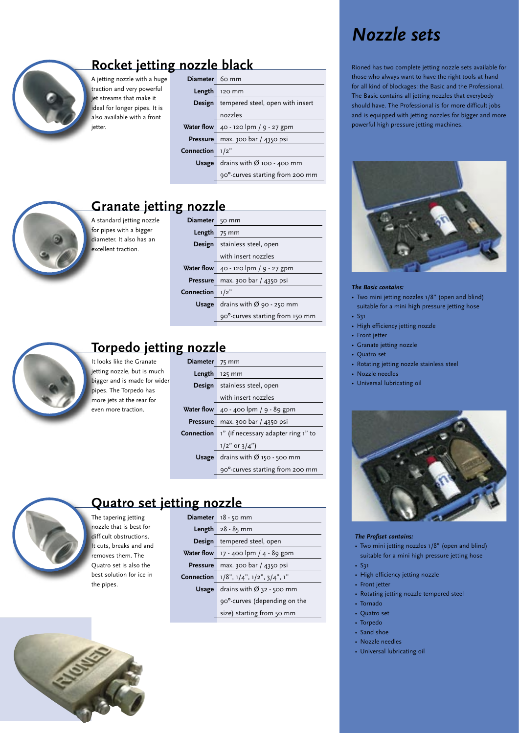

## **Rocket jetting nozzle black**

A jetting nozzle with a huge traction and very powerful jet streams that make it ideal for longer pipes. It is also available with a front jetter.

| Diameter 60 mm |                                        |
|----------------|----------------------------------------|
| Length         | 120 mm                                 |
| Design         | tempered steel, open with insert       |
|                | nozzles                                |
|                | Water flow 40 - 120 lpm / 9 - 27 gpm   |
|                | Pressure max. 300 bar / 4350 psi       |
| Connection     | 1/2"                                   |
| Usage          | drains with $\varnothing$ 100 - 400 mm |
|                | 90°-curves starting from 200 mm        |

### **Granate jetting nozzle**

A standard jetting nozz for pipes with a bigger diameter. It also has an excellent traction.

| le | <b>Diameter</b> | 50 mm                                 |
|----|-----------------|---------------------------------------|
|    | Length          | 75 mm                                 |
|    |                 | Design stainless steel, open          |
|    |                 | with insert nozzles                   |
|    |                 | Water flow 40 - 120 lpm / 9 - 27 gpm  |
|    | Pressure        | max. 300 bar / 4350 psi               |
|    | Connection      | 1/2"                                  |
|    | Usage           | drains with $\varnothing$ 90 - 250 mm |
|    |                 | 90°-curves starting from 150 mm       |
|    |                 |                                       |



### **Torpedo jetting nozzle**

It looks like the Granate jetting nozzle, but is much bigger and is made for wider pipes. The Torpedo has more jets at the rear for even more traction.

The tapering jetting nozzle that is best for difficult obstructions. It cuts, breaks and and removes them. The Quatro set is also the best solution for ice in

the pipes.

| Diameter 75 mm |                                                                                    |
|----------------|------------------------------------------------------------------------------------|
| Length         | 125 mm                                                                             |
|                | <b>Design</b> stainless steel, open                                                |
|                | with insert nozzles                                                                |
|                | <b>Water flow</b> $\overline{40}$ - $\overline{400}$ lpm / $\overline{9}$ - 89 gpm |
|                | Pressure max. 300 bar / 4350 psi                                                   |
|                | <b>Connection</b> 1" (if necessary adapter ring 1" to                              |
|                | $1/2$ " or $3/4$ ")                                                                |
| Usage          | drains with $\varnothing$ 150 - 500 mm                                             |
|                | 90°-curves starting from 200 mm                                                    |



### **Quatro set jetting nozzle**

|       | Diameter 18 - 50 mm                      |
|-------|------------------------------------------|
|       | <b>Length</b> $28 - 85$ mm               |
|       | Design tempered steel, open              |
|       | Water flow $17 - 400$ lpm $/ 4 - 89$ gpm |
|       | Pressure max. 300 bar / 4350 psi         |
|       | Connection 1/8", 1/4", 1/2", 3/4", 1"    |
| Usage | drains with $\varnothing$ 32 - 500 mm    |
|       | 90°-curves (depending on the             |
|       | size) starting from 50 mm                |
|       |                                          |

# *Nozzle sets*

Rioned has two complete jetting nozzle sets available for those who always want to have the right tools at hand for all kind of blockages: the Basic and the Professional. The Basic contains all jetting nozzles that everybody should have. The Professional is for more difficult jobs and is equipped with jetting nozzles for bigger and more powerful high pressure jetting machines.



#### *The Basic contains:*

- Two mini jetting nozzles 1/8" (open and blind) suitable for a mini high pressure jetting hose
- S31
- High efficiency jetting nozzle
- Front jetter
- Granate jetting nozzle
- Quatro set
- Rotating jetting nozzle stainless steel
- Nozzle needles
- Universal lubricating oil



#### *The Profiset contains:*

- Two mini jetting nozzles 1/8" (open and blind) suitable for a mini high pressure jetting hose • S31
- 
- High efficiency jetting nozzle
- Front jetter
- Rotating jetting nozzle tempered steel
- Tornado
- Quatro set
- Torpedo
- Sand shoe
- Nozzle needles
- Universal lubricating oil



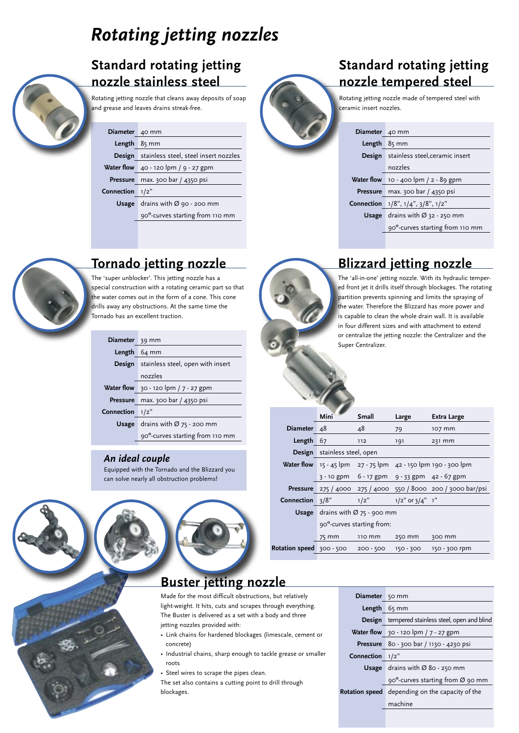# *Rotating jetting nozzles*

### **Standard rotating jetting nozzle stainless steel**

Rotating jetting nozzle that cleans away deposits of soap and grease and leaves drains streak-free.

#### Diameter 40 mm

#### Length 8<sub>5</sub> mm

**Design** stainless steel, steel insert nozzles

**Water flow** 40 - 120 lpm / 9 - 27 gpm

**Pressure** max. 300 bar / 4350 psi

**Connection** 1/2"

**Usage** drains with Ø 90 - 200 mm

90º-curves starting from 110 mm



### **Standard rotating jetting nozzle tempered steel**

Rotating jetting nozzle made of tempered steel with ceramic insert nozzles.

| Diameter 40 mm |                                               |
|----------------|-----------------------------------------------|
| Length         | $85 \, \text{mm}$                             |
|                | <b>Design</b> stainless steel, ceramic insert |
|                | nozzles                                       |
|                | Water flow 10 - 400 lpm / 2 - 89 gpm          |
|                | Pressure max. 300 bar / 4350 psi              |
|                | Connection 1/8", 1/4", 3/8", 1/2"             |
| Usage          | drains with $\varnothing$ 32 - 250 mm         |
|                | 90°-curves starting from 110 mm               |
|                |                                               |

**Blizzard jetting nozzle** The 'all-in-one' jetting nozzle. With its hydraulic tempered front jet it drills itself through blockages. The rotating partition prevents spinning and limits the spraying of the water. Therefore the Blizzard has more power and is capable to clean the whole drain wall. It is available in four different sizes and with attachment to extend or centralize the jetting nozzle: the Centralizer and the

**Mini Small Large Extra Large**

3 - 10 gpm 6 - 17 gpm 9 - 33 gpm 42 - 67 gpm **Pressure** 275 / 4000 275 / 4000 550 / 8000 200 / 3000 bar/psi

75 mm 110 mm 250 mm 300 mm

**Diameter** 48 48 79 107 mm **Length** 67 112 191 231 mm

Super Centralizer.

 **Water flow** 15 - 45 lpm 27 - 75 lpm 42 - 150 lpm 190 - 300 lpm

**Connection**  $3/8$ "  $1/2$ "  $1/2$ " or  $3/4$ " 1"

**Usage** drains with Ø 75 - 900 mm 90º-curves starting from:

**Design** stainless steel, open



### **Tornado jetting nozzle**

The 'super unblocker'. This jetting nozzle has a special construction with a rotating ceramic part so that the water comes out in the form of a cone. This cone drills away any obstructions. At the same time the Tornado has an excellent traction.

| Diameter 39 mm |                                          |
|----------------|------------------------------------------|
| Length         | 64 mm                                    |
|                | Design stainless steel, open with insert |
|                | nozzles                                  |
|                | Water flow 30 - 120 lpm / 7 - 27 gpm     |
|                | Pressure max. 300 bar / 4350 psi         |
| Connection     | 1/2"                                     |
| Usage          | drains with $\varnothing$ 75 - 200 mm    |
|                | 90°-curves starting from 110 mm          |

### *An ideal couple*

Equipped with the Tornado and the Blizzard you can solve nearly all obstruction problems!



light-weight. It hits, cuts and scrapes through everything. The Buster is delivered as a set with a body and three jetting nozzles provided with:

- Link chains for hardened blockages (limescale, cement or concrete)
- Industrial chains, sharp enough to tackle grease or smaller roots
- Steel wires to scrape the pipes clean.

The set also contains a cutting point to drill through blockages.

| Diameter 50 mm                  |                                                        |
|---------------------------------|--------------------------------------------------------|
| <b>Length</b> $65 \, \text{mm}$ |                                                        |
|                                 | <b>Design</b> tempered stainless steel, open and blind |
|                                 | Water flow $30 - 120$ lpm $/7 - 27$ gpm                |
|                                 | Pressure 80 - 300 bar / 1130 - 4230 psi                |
| Connection $1/2$ "              |                                                        |
|                                 | <b>Usage</b> drains with $\varnothing$ 80 - 250 mm     |
|                                 | $90^{\circ}$ -curves starting from Ø 90 mm             |
|                                 | Rotation speed depending on the capacity of the        |
|                                 | machine                                                |
|                                 |                                                        |

**Rotation speed** 300 - 500 200 - 500 150 - 300 150 - 300 rpm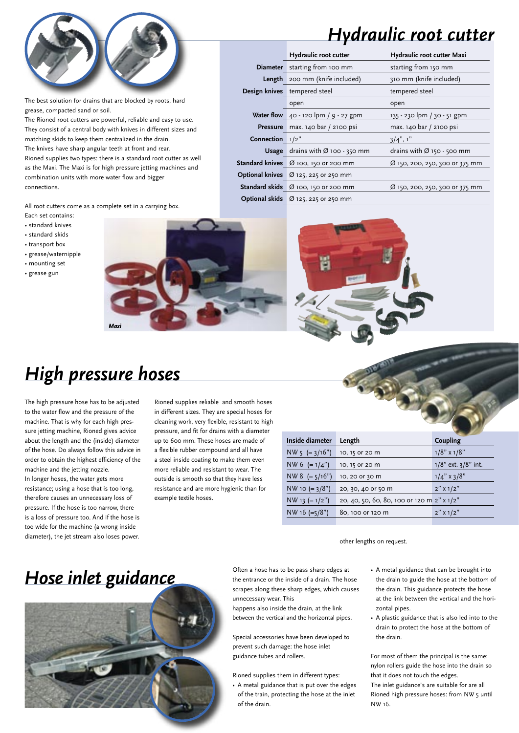

*Hydraulic root cutter*

|                    | Hydraulic root cutter                                                 | Hydraulic root cutter Maxi             |  |  |  |
|--------------------|-----------------------------------------------------------------------|----------------------------------------|--|--|--|
|                    | Diameter starting from 100 mm                                         | starting from 150 mm                   |  |  |  |
|                    | <b>Length</b> 200 mm (knife included)                                 | 310 mm (knife included)                |  |  |  |
|                    | Design knives tempered steel                                          | tempered steel                         |  |  |  |
|                    | open                                                                  | open                                   |  |  |  |
|                    | Water flow 40 - 120 lpm / 9 - 27 gpm                                  | 135 - 230 lpm / 30 - 51 gpm            |  |  |  |
|                    | Pressure max. 140 bar / 2100 psi                                      | max. 140 bar / 2100 psi                |  |  |  |
| Connection $1/2$ " |                                                                       | $3/4$ ", 1"                            |  |  |  |
|                    | <b>Usage</b> drains with $\varnothing$ 100 - 350 mm                   | drains with $\varnothing$ 150 - 500 mm |  |  |  |
|                    | Standard knives Ø 100, 150 or 200 mm                                  | Ø 150, 200, 250, 300 or 375 mm         |  |  |  |
|                    | <b>Optional knives</b> $\varnothing$ 125, 225 or 250 mm               |                                        |  |  |  |
|                    | Standard skids Ø 100, 150 or 200 mm<br>Ø 150, 200, 250, 300 or 375 mm |                                        |  |  |  |
|                    | <b>Optional skids</b> $\varnothing$ 125, 225 or 250 mm                |                                        |  |  |  |

The best solution for drains that are blocked by roots, hard grease, compacted sand or soil.

The Rioned root cutters are powerful, reliable and easy to use. They consist of a central body with knives in different sizes and matching skids to keep them centralized in the drain. The knives have sharp angular teeth at front and rear. Rioned supplies two types: there is a standard root cutter as well as the Maxi. The Maxi is for high pressure jetting machines and combination units with more water flow and bigger connections.

All root cutters come as a complete set in a carrying box.

- Each set contains:
- standard knives
- standard skids
- transport box
- grease/waternipple • mounting set
- grease gun





# *High pressure hoses*

*Maxi*

The high pressure hose has to be adjusted to the water flow and the pressure of the machine. That is why for each high pressure jetting machine, Rioned gives advice about the length and the (inside) diameter of the hose. Do always follow this advice in order to obtain the highest efficiency of the machine and the jetting nozzle. In longer hoses, the water gets more resistance; using a hose that is too long,

therefore causes an unnecessary loss of pressure. If the hose is too narrow, there is a loss of pressure too. And if the hose is too wide for the machine (a wrong inside diameter), the jet stream also loses power.

Rioned supplies reliable and smooth hoses in different sizes. They are special hoses for cleaning work, very flexible, resistant to high pressure, and fit for drains with a diameter up to 600 mm. These hoses are made of a flexible rubber compound and all have a steel inside coating to make them even more reliable and resistant to wear. The outside is smooth so that they have less resistance and are more hygienic than for example textile hoses.

| Inside diameter    | Length                                     | Coupling                  |  |  |
|--------------------|--------------------------------------------|---------------------------|--|--|
| $NW 5 (= 3/16")$   | 10, 15 or 20 m                             | $1/8$ " x $1/8$ "         |  |  |
| NW 6 $(=1/4")$     | 10, 15 or 20 m                             | $1/8$ " ext. $3/8$ " int. |  |  |
| NW 8 $( = 5/16'')$ | 10, 20 or 30 m                             | $1/4$ " x 3/8"            |  |  |
| $NW 10 (= 3/8")$   | 20, 30, 40 or 50 m                         | $2''$ x 1/2"              |  |  |
| $NW 13 (= 1/2")$   | 20, 40, 50, 60, 80, 100 or 120 m 2" x 1/2" |                           |  |  |
| NW 16 $(=5/8")$    | 80, 100 or 120 m                           | $2''$ x 1/2"              |  |  |
|                    |                                            |                           |  |  |

other lengths on request.

# *Hose inlet guidance*



Often a hose has to be pass sharp edges at the entrance or the inside of a drain. The hose scrapes along these sharp edges, which causes unnecessary wear. This

happens also inside the drain, at the link between the vertical and the horizontal pipes.

Special accessories have been developed to prevent such damage: the hose inlet guidance tubes and rollers.

Rioned supplies them in different types:

- A metal guidance that is put over the edges of the train, protecting the hose at the inlet of the drain.
- A metal guidance that can be brought into the drain to guide the hose at the bottom of the drain. This guidance protects the hose at the link between the vertical and the horizontal pipes.
- A plastic guidance that is also led into to the drain to protect the hose at the bottom of the drain.

For most of them the principal is the same: nylon rollers guide the hose into the drain so that it does not touch the edges. The inlet guidance's are suitable for are all

Rioned high pressure hoses: from NW 5 until NW 16.